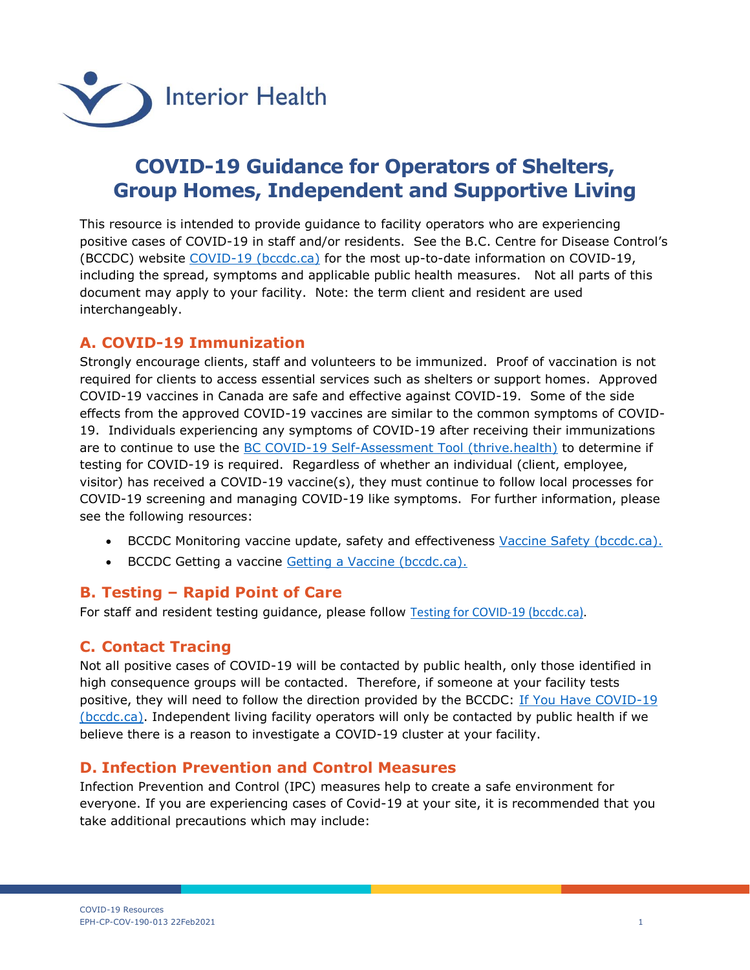

# **COVID-19 Guidance for Operators of Shelters, Group Homes, Independent and Supportive Living**

This resource is intended to provide guidance to facility operators who are experiencing positive cases of COVID-19 in staff and/or residents. See the B.C. Centre for Disease Control's (BCCDC) website [COVID-19 \(bccdc.ca\)](http://www.bccdc.ca/health-info/diseases-conditions/covid-19) for the most up-to-date information on COVID-19, including the spread, symptoms and applicable public health measures. Not all parts of this document may apply to your facility. Note: the term client and resident are used interchangeably.

# **A. COVID-19 Immunization**

Strongly encourage clients, staff and volunteers to be immunized. Proof of vaccination is not required for clients to access essential services such as shelters or support homes. Approved COVID-19 vaccines in Canada are safe and effective against COVID-19. Some of the side effects from the approved COVID-19 vaccines are similar to the common symptoms of COVID-19. Individuals experiencing any symptoms of COVID-19 after receiving their immunizations are to continue to use the [BC COVID-19 Self-Assessment Tool \(thrive.health\)](https://bc.thrive.health/covid19/en) to determine if testing for COVID-19 is required. Regardless of whether an individual (client, employee, visitor) has received a COVID-19 vaccine(s), they must continue to follow local processes for COVID-19 screening and managing COVID-19 like symptoms. For further information, please see the following resources:

- **BCCDC Monitoring vaccine update, safety and effectiveness [Vaccine Safety \(bccdc.ca\).](http://www.bccdc.ca/health-info/diseases-conditions/covid-19/covid-19-vaccine/vaccine-safety)**
- BCCDC Getting a vaccine [Getting a Vaccine \(bccdc.ca\).](http://www.bccdc.ca/health-info/diseases-conditions/covid-19/covid-19-vaccine/getting-a-vaccine)

# **B. Testing – Rapid Point of Care**

For staff and resident testing guidance, please follow [Testing for COVID-19 \(bccdc.ca\).](http://www.bccdc.ca/health-info/diseases-conditions/covid-19/testing)

# **C. Contact Tracing**

Not all positive cases of COVID-19 will be contacted by public health, only those identified in high consequence groups will be contacted. Therefore, if someone at your facility tests positive, they will need to follow the direction provided by the BCCDC: If You Have COVID-19 [\(bccdc.ca\).](http://www.bccdc.ca/health-info/diseases-conditions/covid-19/if-you-have-covid-19) Independent living facility operators will only be contacted by public health if we believe there is a reason to investigate a COVID-19 cluster at your facility.

# **D. Infection Prevention and Control Measures**

Infection Prevention and Control (IPC) measures help to create a safe environment for everyone. If you are experiencing cases of Covid-19 at your site, it is recommended that you take additional precautions which may include: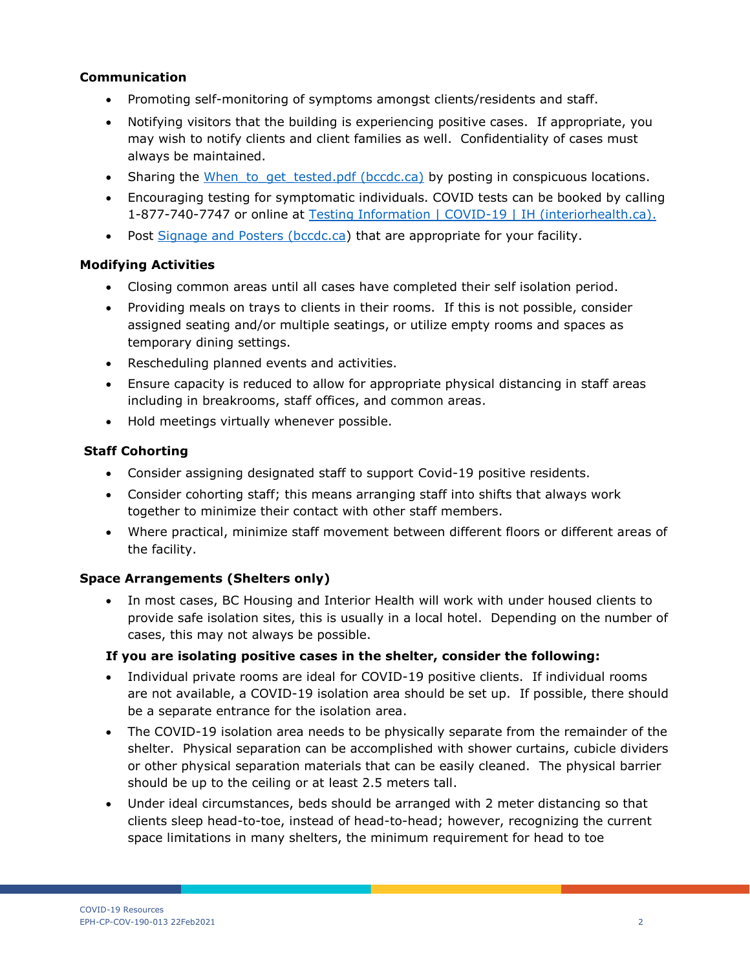#### **Communication**

- Promoting self-monitoring of symptoms amongst clients/residents and staff.
- Notifying visitors that the building is experiencing positive cases. If appropriate, you may wish to notify clients and client families as well. Confidentiality of cases must always be maintained.
- Sharing the When to get tested.pdf (bccdc.ca) by posting in conspicuous locations.
- Encouraging testing for symptomatic individuals. COVID tests can be booked by calling 1-877-740-7747 or online at [Testing Information | COVID-19 | IH \(interiorhealth.ca\).](https://www.interiorhealth.ca/health-and-wellness/disease-outbreaks/covid-19/testing-information)
- Post [Signage and Posters \(bccdc.ca\)](http://www.bccdc.ca/health-professionals/clinical-resources/covid-19-care/signage-posters) that are appropriate for your facility.

## **Modifying Activities**

- Closing common areas until all cases have completed their self isolation period.
- Providing meals on trays to clients in their rooms. If this is not possible, consider assigned seating and/or multiple seatings, or utilize empty rooms and spaces as temporary dining settings.
- Rescheduling planned events and activities.
- Ensure capacity is reduced to allow for appropriate physical distancing in staff areas including in breakrooms, staff offices, and common areas.
- Hold meetings virtually whenever possible.

#### **Staff Cohorting**

- Consider assigning designated staff to support Covid-19 positive residents.
- Consider cohorting staff; this means arranging staff into shifts that always work together to minimize their contact with other staff members.
- Where practical, minimize staff movement between different floors or different areas of the facility.

# **Space Arrangements (Shelters only)**

 In most cases, BC Housing and Interior Health will work with under housed clients to provide safe isolation sites, this is usually in a local hotel. Depending on the number of cases, this may not always be possible.

#### **If you are isolating positive cases in the shelter, consider the following:**

- Individual private rooms are ideal for COVID-19 positive clients. If individual rooms are not available, a COVID-19 isolation area should be set up. If possible, there should be a separate entrance for the isolation area.
- The COVID-19 isolation area needs to be physically separate from the remainder of the shelter. Physical separation can be accomplished with shower curtains, cubicle dividers or other physical separation materials that can be easily cleaned. The physical barrier should be up to the ceiling or at least 2.5 meters tall.
- Under ideal circumstances, beds should be arranged with 2 meter distancing so that clients sleep head-to-toe, instead of head-to-head; however, recognizing the current space limitations in many shelters, the minimum requirement for head to toe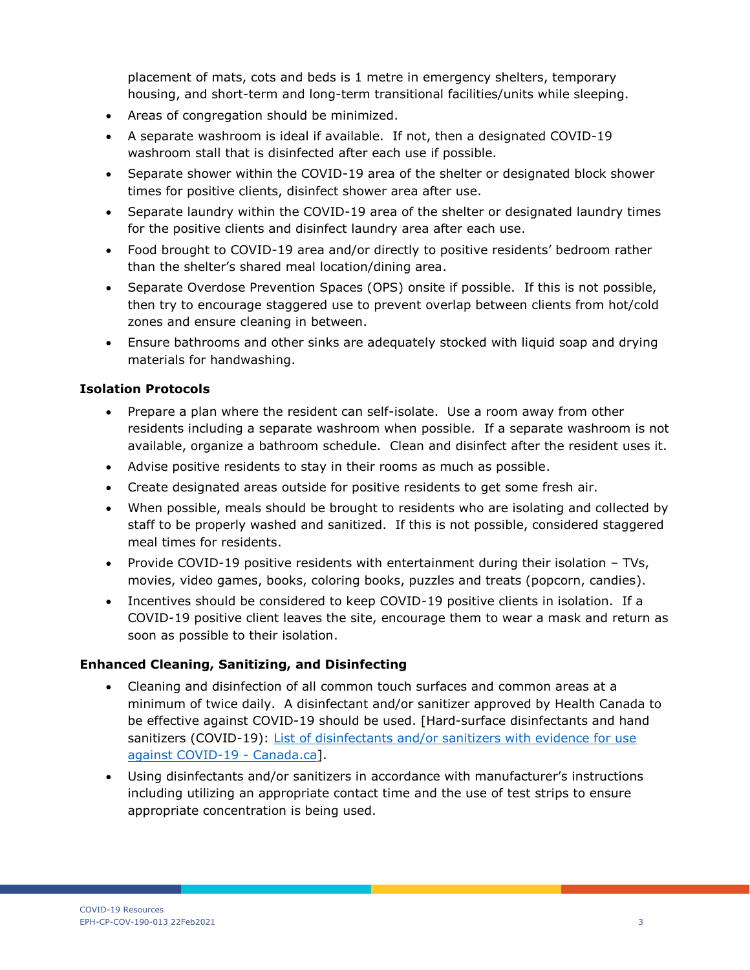placement of mats, cots and beds is 1 metre in emergency shelters, temporary housing, and short-term and long-term transitional facilities/units while sleeping.

- Areas of congregation should be minimized.
- A separate washroom is ideal if available. If not, then a designated COVID-19 washroom stall that is disinfected after each use if possible.
- Separate shower within the COVID-19 area of the shelter or designated block shower times for positive clients, disinfect shower area after use.
- Separate laundry within the COVID-19 area of the shelter or designated laundry times for the positive clients and disinfect laundry area after each use.
- Food brought to COVID-19 area and/or directly to positive residents' bedroom rather than the shelter's shared meal location/dining area.
- Separate Overdose Prevention Spaces (OPS) onsite if possible. If this is not possible, then try to encourage staggered use to prevent overlap between clients from hot/cold zones and ensure cleaning in between.
- Ensure bathrooms and other sinks are adequately stocked with liquid soap and drying materials for handwashing.

## **Isolation Protocols**

- Prepare a plan where the resident can self-isolate. Use a room away from other residents including a separate washroom when possible. If a separate washroom is not available, organize a bathroom schedule. Clean and disinfect after the resident uses it.
- Advise positive residents to stay in their rooms as much as possible.
- Create designated areas outside for positive residents to get some fresh air.
- When possible, meals should be brought to residents who are isolating and collected by staff to be properly washed and sanitized. If this is not possible, considered staggered meal times for residents.
- Provide COVID-19 positive residents with entertainment during their isolation TVs, movies, video games, books, coloring books, puzzles and treats (popcorn, candies).
- Incentives should be considered to keep COVID-19 positive clients in isolation. If a COVID-19 positive client leaves the site, encourage them to wear a mask and return as soon as possible to their isolation.

#### **Enhanced Cleaning, Sanitizing, and Disinfecting**

- Cleaning and disinfection of all common touch surfaces and common areas at a minimum of twice daily. A disinfectant and/or sanitizer approved by Health Canada to be effective against COVID-19 should be used. [Hard-surface disinfectants and hand sanitizers (COVID-19): List of disinfectants and/or sanitizers with evidence for use [against COVID-19 -](https://www.canada.ca/en/health-canada/services/drugs-health-products/disinfectants/covid-19/list.html) Canada.ca].
- Using disinfectants and/or sanitizers in accordance with manufacturer's instructions including utilizing an appropriate contact time and the use of test strips to ensure appropriate concentration is being used.